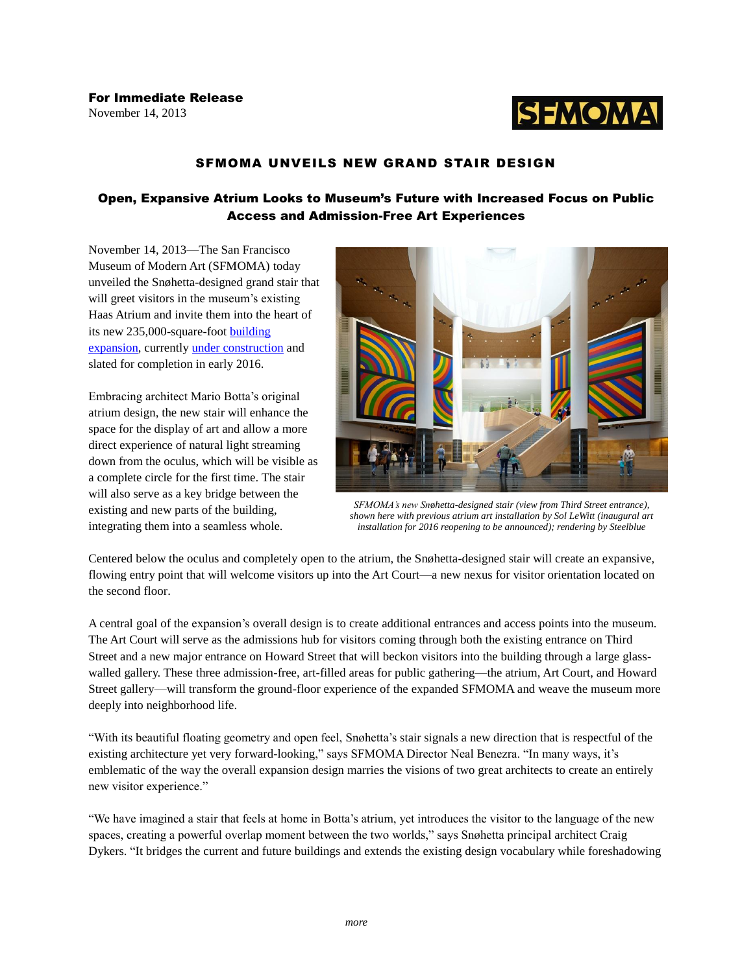

# SFMOMA UNVEILS NEW GRAND STAIR DESIGN

## Open, Expansive Atrium Looks to Museum's Future with Increased Focus on Public Access and Admission-Free Art Experiences

November 14, 2013—The San Francisco Museum of Modern Art (SFMOMA) today unveiled the Snøhetta-designed grand stair that will greet visitors in the museum's existing Haas Atrium and invite them into the heart of its new 235,000-square-foot [building](http://www.sfmoma.org/about/press/press_news/releases/952)  [expansion,](http://www.sfmoma.org/about/press/press_news/releases/952) currently [under construction](http://www.sfmoma.org/our_expansion/expansion_building/constructioncam) and slated for completion in early 2016.

Embracing architect Mario Botta's original atrium design, the new stair will enhance the space for the display of art and allow a more direct experience of natural light streaming down from the oculus, which will be visible as a complete circle for the first time. The stair will also serve as a key bridge between the existing and new parts of the building, integrating them into a seamless whole.



*SFMOMA's new Sn*ø*hetta-designed stair (view from Third Street entrance), shown here with previous atrium art installation by Sol LeWitt (inaugural art installation for 2016 reopening to be announced); rendering by Steelblue*

Centered below the oculus and completely open to the atrium, the Snøhetta-designed stair will create an expansive, flowing entry point that will welcome visitors up into the Art Court—a new nexus for visitor orientation located on the second floor.

A central goal of the expansion's overall design is to create additional entrances and access points into the museum. The Art Court will serve as the admissions hub for visitors coming through both the existing entrance on Third Street and a new major entrance on Howard Street that will beckon visitors into the building through a large glasswalled gallery. These three admission-free, art-filled areas for public gathering—the atrium, Art Court, and Howard Street gallery—will transform the ground-floor experience of the expanded SFMOMA and weave the museum more deeply into neighborhood life.

"With its beautiful floating geometry and open feel, Snøhetta's stair signals a new direction that is respectful of the existing architecture yet very forward-looking," says SFMOMA Director Neal Benezra. "In many ways, it's emblematic of the way the overall expansion design marries the visions of two great architects to create an entirely new visitor experience."

"We have imagined a stair that feels at home in Botta's atrium, yet introduces the visitor to the language of the new spaces, creating a powerful overlap moment between the two worlds," says Snøhetta principal architect Craig Dykers. "It bridges the current and future buildings and extends the existing design vocabulary while foreshadowing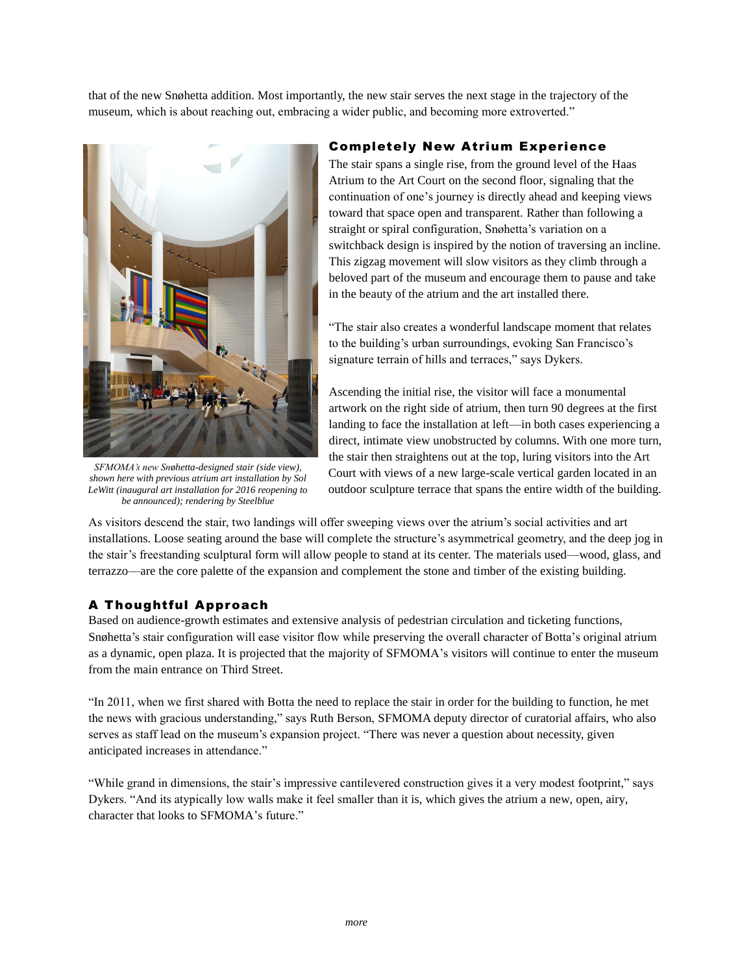that of the new Snøhetta addition. Most importantly, the new stair serves the next stage in the trajectory of the museum, which is about reaching out, embracing a wider public, and becoming more extroverted."



*SFMOMA's new Sn*ø*hetta-designed stair (side view), shown here with previous atrium art installation by Sol LeWitt (inaugural art installation for 2016 reopening to be announced); rendering by Steelblue*

### Completely New Atrium Experience

The stair spans a single rise, from the ground level of the Haas Atrium to the Art Court on the second floor, signaling that the continuation of one's journey is directly ahead and keeping views toward that space open and transparent. Rather than following a straight or spiral configuration, Snøhetta's variation on a switchback design is inspired by the notion of traversing an incline. This zigzag movement will slow visitors as they climb through a beloved part of the museum and encourage them to pause and take in the beauty of the atrium and the art installed there.

"The stair also creates a wonderful landscape moment that relates to the building's urban surroundings, evoking San Francisco's signature terrain of hills and terraces," says Dykers.

Ascending the initial rise, the visitor will face a monumental artwork on the right side of atrium, then turn 90 degrees at the first landing to face the installation at left—in both cases experiencing a direct, intimate view unobstructed by columns. With one more turn, the stair then straightens out at the top, luring visitors into the Art Court with views of a new large-scale vertical garden located in an outdoor sculpture terrace that spans the entire width of the building.

As visitors descend the stair, two landings will offer sweeping views over the atrium's social activities and art installations. Loose seating around the base will complete the structure's asymmetrical geometry, and the deep jog in the stair's freestanding sculptural form will allow people to stand at its center. The materials used—wood, glass, and terrazzo—are the core palette of the expansion and complement the stone and timber of the existing building.

## A Thoughtful Approach

Based on audience-growth estimates and extensive analysis of pedestrian circulation and ticketing functions, Snøhetta's stair configuration will ease visitor flow while preserving the overall character of Botta's original atrium as a dynamic, open plaza. It is projected that the majority of SFMOMA's visitors will continue to enter the museum from the main entrance on Third Street.

"In 2011, when we first shared with Botta the need to replace the stair in order for the building to function, he met the news with gracious understanding," says Ruth Berson, SFMOMA deputy director of curatorial affairs, who also serves as staff lead on the museum's expansion project. "There was never a question about necessity, given anticipated increases in attendance."

"While grand in dimensions, the stair's impressive cantilevered construction gives it a very modest footprint," says Dykers. "And its atypically low walls make it feel smaller than it is, which gives the atrium a new, open, airy, character that looks to SFMOMA's future."